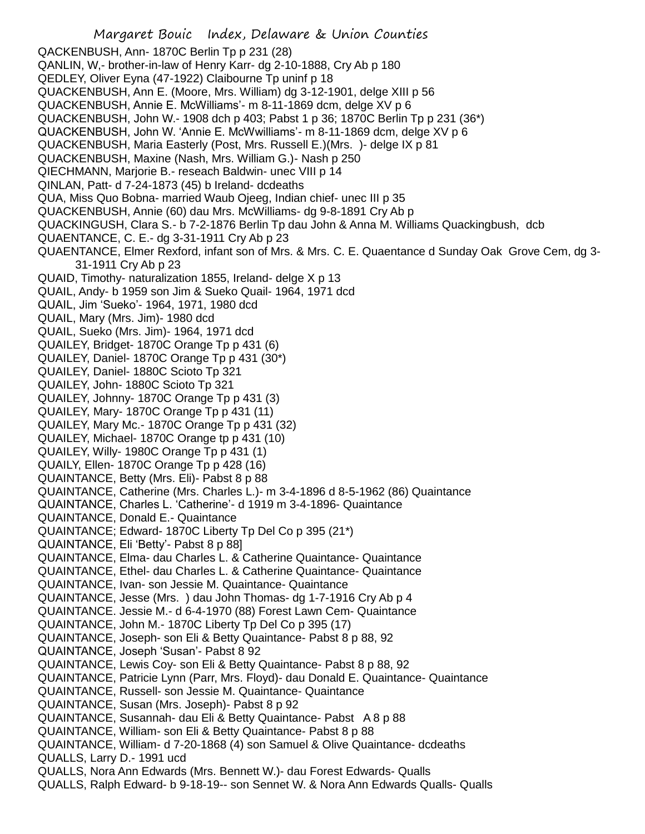Margaret Bouic Index, Delaware & Union Counties QACKENBUSH, Ann- 1870C Berlin Tp p 231 (28) QANLIN, W,- brother-in-law of Henry Karr- dg 2-10-1888, Cry Ab p 180 QEDLEY, Oliver Eyna (47-1922) Claibourne Tp uninf p 18 QUACKENBUSH, Ann E. (Moore, Mrs. William) dg 3-12-1901, delge XIII p 56 QUACKENBUSH, Annie E. McWilliams'- m 8-11-1869 dcm, delge XV p 6 QUACKENBUSH, John W.- 1908 dch p 403; Pabst 1 p 36; 1870C Berlin Tp p 231 (36\*) QUACKENBUSH, John W. 'Annie E. McWwilliams'- m 8-11-1869 dcm, delge XV p 6 QUACKENBUSH, Maria Easterly (Post, Mrs. Russell E.)(Mrs. )- delge IX p 81 QUACKENBUSH, Maxine (Nash, Mrs. William G.)- Nash p 250 QIECHMANN, Marjorie B.- reseach Baldwin- unec VIII p 14 QINLAN, Patt- d 7-24-1873 (45) b Ireland- dcdeaths QUA, Miss Quo Bobna- married Waub Ojeeg, Indian chief- unec III p 35 QUACKENBUSH, Annie (60) dau Mrs. McWilliams- dg 9-8-1891 Cry Ab p QUACKINGUSH, Clara S.- b 7-2-1876 Berlin Tp dau John & Anna M. Williams Quackingbush, dcb QUAENTANCE, C. E.- dg 3-31-1911 Cry Ab p 23 QUAENTANCE, Elmer Rexford, infant son of Mrs. & Mrs. C. E. Quaentance d Sunday Oak Grove Cem, dg 3- 31-1911 Cry Ab p 23 QUAID, Timothy- naturalization 1855, Ireland- delge X p 13 QUAIL, Andy- b 1959 son Jim & Sueko Quail- 1964, 1971 dcd QUAIL, Jim 'Sueko'- 1964, 1971, 1980 dcd QUAIL, Mary (Mrs. Jim)- 1980 dcd QUAIL, Sueko (Mrs. Jim)- 1964, 1971 dcd QUAILEY, Bridget- 1870C Orange Tp p 431 (6) QUAILEY, Daniel- 1870C Orange Tp p 431 (30\*) QUAILEY, Daniel- 1880C Scioto Tp 321 QUAILEY, John- 1880C Scioto Tp 321 QUAILEY, Johnny- 1870C Orange Tp p 431 (3) QUAILEY, Mary- 1870C Orange Tp p 431 (11) QUAILEY, Mary Mc.- 1870C Orange Tp p 431 (32) QUAILEY, Michael- 1870C Orange tp p 431 (10) QUAILEY, Willy- 1980C Orange Tp p 431 (1) QUAILY, Ellen- 1870C Orange Tp p 428 (16) QUAINTANCE, Betty (Mrs. Eli)- Pabst 8 p 88 QUAINTANCE, Catherine (Mrs. Charles L.)- m 3-4-1896 d 8-5-1962 (86) Quaintance QUAINTANCE, Charles L. 'Catherine'- d 1919 m 3-4-1896- Quaintance QUAINTANCE, Donald E.- Quaintance QUAINTANCE; Edward- 1870C Liberty Tp Del Co p 395 (21\*) QUAINTANCE, Eli 'Betty'- Pabst 8 p 88] QUAINTANCE, Elma- dau Charles L. & Catherine Quaintance- Quaintance QUAINTANCE, Ethel- dau Charles L. & Catherine Quaintance- Quaintance QUAINTANCE, Ivan- son Jessie M. Quaintance- Quaintance QUAINTANCE, Jesse (Mrs. ) dau John Thomas- dg 1-7-1916 Cry Ab p 4 QUAINTANCE. Jessie M.- d 6-4-1970 (88) Forest Lawn Cem- Quaintance QUAINTANCE, John M.- 1870C Liberty Tp Del Co p 395 (17) QUAINTANCE, Joseph- son Eli & Betty Quaintance- Pabst 8 p 88, 92 QUAINTANCE, Joseph 'Susan'- Pabst 8 92 QUAINTANCE, Lewis Coy- son Eli & Betty Quaintance- Pabst 8 p 88, 92 QUAINTANCE, Patricie Lynn (Parr, Mrs. Floyd)- dau Donald E. Quaintance- Quaintance QUAINTANCE, Russell- son Jessie M. Quaintance- Quaintance QUAINTANCE, Susan (Mrs. Joseph)- Pabst 8 p 92 QUAINTANCE, Susannah- dau Eli & Betty Quaintance- Pabst A 8 p 88 QUAINTANCE, William- son Eli & Betty Quaintance- Pabst 8 p 88 QUAINTANCE, William- d 7-20-1868 (4) son Samuel & Olive Quaintance- dcdeaths QUALLS, Larry D.- 1991 ucd QUALLS, Nora Ann Edwards (Mrs. Bennett W.)- dau Forest Edwards- Qualls QUALLS, Ralph Edward- b 9-18-19-- son Sennet W. & Nora Ann Edwards Qualls- Qualls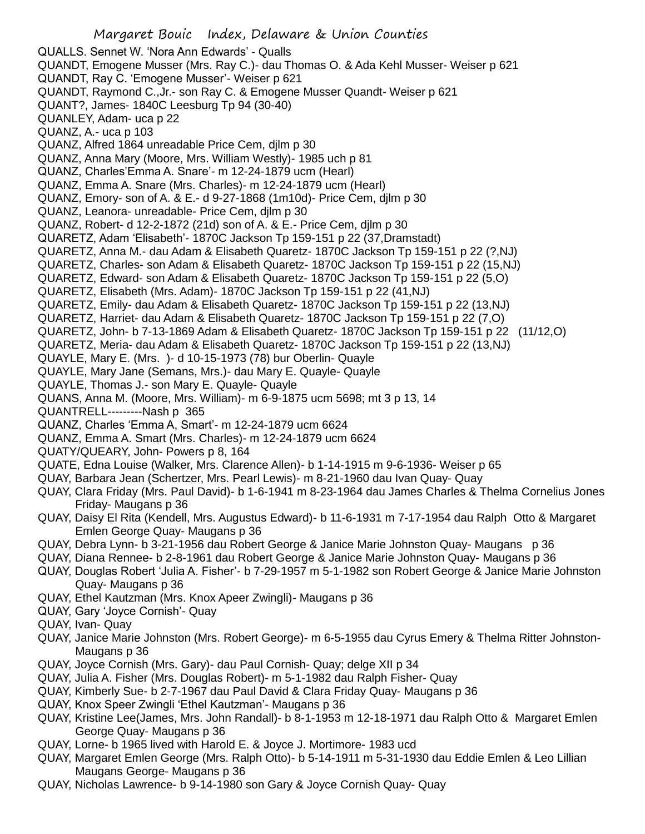QUALLS. Sennet W. 'Nora Ann Edwards' - Qualls QUANDT, Emogene Musser (Mrs. Ray C.)- dau Thomas O. & Ada Kehl Musser- Weiser p 621 QUANDT, Ray C. 'Emogene Musser'- Weiser p 621 QUANDT, Raymond C.,Jr.- son Ray C. & Emogene Musser Quandt- Weiser p 621 QUANT?, James- 1840C Leesburg Tp 94 (30-40) QUANLEY, Adam- uca p 22 QUANZ, A.- uca p 103 QUANZ, Alfred 1864 unreadable Price Cem, djlm p 30 QUANZ, Anna Mary (Moore, Mrs. William Westly)- 1985 uch p 81 QUANZ, Charles'Emma A. Snare'- m 12-24-1879 ucm (Hearl) QUANZ, Emma A. Snare (Mrs. Charles)- m 12-24-1879 ucm (Hearl) QUANZ, Emory- son of A. & E.- d 9-27-1868 (1m10d)- Price Cem, djlm p 30 QUANZ, Leanora- unreadable- Price Cem, djlm p 30 QUANZ, Robert- d 12-2-1872 (21d) son of A. & E.- Price Cem, djlm p 30 QUARETZ, Adam 'Elisabeth'- 1870C Jackson Tp 159-151 p 22 (37,Dramstadt) QUARETZ, Anna M.- dau Adam & Elisabeth Quaretz- 1870C Jackson Tp 159-151 p 22 (?,NJ) QUARETZ, Charles- son Adam & Elisabeth Quaretz- 1870C Jackson Tp 159-151 p 22 (15,NJ) QUARETZ, Edward- son Adam & Elisabeth Quaretz- 1870C Jackson Tp 159-151 p 22 (5,O) QUARETZ, Elisabeth (Mrs. Adam)- 1870C Jackson Tp 159-151 p 22 (41,NJ) QUARETZ, Emily- dau Adam & Elisabeth Quaretz- 1870C Jackson Tp 159-151 p 22 (13,NJ) QUARETZ, Harriet- dau Adam & Elisabeth Quaretz- 1870C Jackson Tp 159-151 p 22 (7,O) QUARETZ, John- b 7-13-1869 Adam & Elisabeth Quaretz- 1870C Jackson Tp 159-151 p 22 (11/12,O) QUARETZ, Meria- dau Adam & Elisabeth Quaretz- 1870C Jackson Tp 159-151 p 22 (13,NJ) QUAYLE, Mary E. (Mrs. )- d 10-15-1973 (78) bur Oberlin- Quayle QUAYLE, Mary Jane (Semans, Mrs.)- dau Mary E. Quayle- Quayle QUAYLE, Thomas J.- son Mary E. Quayle- Quayle QUANS, Anna M. (Moore, Mrs. William)- m 6-9-1875 ucm 5698; mt 3 p 13, 14 QUANTRELL---------Nash p 365 QUANZ, Charles 'Emma A, Smart'- m 12-24-1879 ucm 6624 QUANZ, Emma A. Smart (Mrs. Charles)- m 12-24-1879 ucm 6624 QUATY/QUEARY, John- Powers p 8, 164 QUATE, Edna Louise (Walker, Mrs. Clarence Allen)- b 1-14-1915 m 9-6-1936- Weiser p 65 QUAY, Barbara Jean (Schertzer, Mrs. Pearl Lewis)- m 8-21-1960 dau Ivan Quay- Quay QUAY, Clara Friday (Mrs. Paul David)- b 1-6-1941 m 8-23-1964 dau James Charles & Thelma Cornelius Jones Friday- Maugans p 36 QUAY, Daisy El Rita (Kendell, Mrs. Augustus Edward)- b 11-6-1931 m 7-17-1954 dau Ralph Otto & Margaret Emlen George Quay- Maugans p 36 QUAY, Debra Lynn- b 3-21-1956 dau Robert George & Janice Marie Johnston Quay- Maugans p 36 QUAY, Diana Rennee- b 2-8-1961 dau Robert George & Janice Marie Johnston Quay- Maugans p 36 QUAY, Douglas Robert 'Julia A. Fisher'- b 7-29-1957 m 5-1-1982 son Robert George & Janice Marie Johnston Quay- Maugans p 36 QUAY, Ethel Kautzman (Mrs. Knox Apeer Zwingli)- Maugans p 36 QUAY, Gary 'Joyce Cornish'- Quay QUAY, Ivan- Quay QUAY, Janice Marie Johnston (Mrs. Robert George)- m 6-5-1955 dau Cyrus Emery & Thelma Ritter Johnston-Maugans p 36 QUAY, Joyce Cornish (Mrs. Gary)- dau Paul Cornish- Quay; delge XII p 34 QUAY, Julia A. Fisher (Mrs. Douglas Robert)- m 5-1-1982 dau Ralph Fisher- Quay QUAY, Kimberly Sue- b 2-7-1967 dau Paul David & Clara Friday Quay- Maugans p 36 QUAY, Knox Speer Zwingli 'Ethel Kautzman'- Maugans p 36 QUAY, Kristine Lee(James, Mrs. John Randall)- b 8-1-1953 m 12-18-1971 dau Ralph Otto & Margaret Emlen George Quay- Maugans p 36

- QUAY, Lorne- b 1965 lived with Harold E. & Joyce J. Mortimore- 1983 ucd
- QUAY, Margaret Emlen George (Mrs. Ralph Otto)- b 5-14-1911 m 5-31-1930 dau Eddie Emlen & Leo Lillian Maugans George- Maugans p 36
- QUAY, Nicholas Lawrence- b 9-14-1980 son Gary & Joyce Cornish Quay- Quay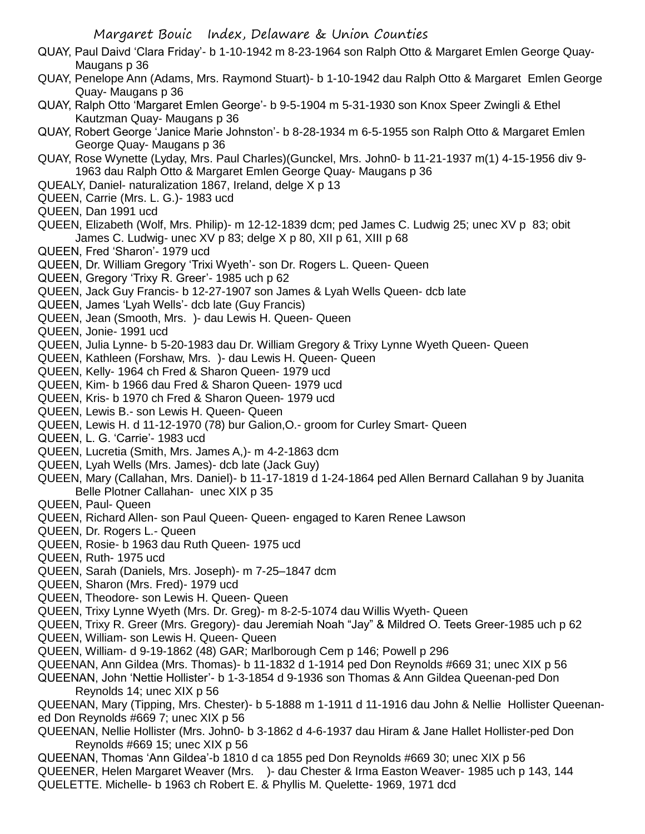Margaret Bouic Index, Delaware & Union Counties QUAY, Paul Daivd 'Clara Friday'- b 1-10-1942 m 8-23-1964 son Ralph Otto & Margaret Emlen George Quay-Maugans p 36 QUAY, Penelope Ann (Adams, Mrs. Raymond Stuart)- b 1-10-1942 dau Ralph Otto & Margaret Emlen George Quay- Maugans p 36 QUAY, Ralph Otto 'Margaret Emlen George'- b 9-5-1904 m 5-31-1930 son Knox Speer Zwingli & Ethel Kautzman Quay- Maugans p 36 QUAY, Robert George 'Janice Marie Johnston'- b 8-28-1934 m 6-5-1955 son Ralph Otto & Margaret Emlen George Quay- Maugans p 36 QUAY, Rose Wynette (Lyday, Mrs. Paul Charles)(Gunckel, Mrs. John0- b 11-21-1937 m(1) 4-15-1956 div 9- 1963 dau Ralph Otto & Margaret Emlen George Quay- Maugans p 36 QUEALY, Daniel- naturalization 1867, Ireland, delge X p 13 QUEEN, Carrie (Mrs. L. G.)- 1983 ucd QUEEN, Dan 1991 ucd QUEEN, Elizabeth (Wolf, Mrs. Philip)- m 12-12-1839 dcm; ped James C. Ludwig 25; unec XV p 83; obit James C. Ludwig- unec XV p 83; delge X p 80, XII p 61, XIII p 68 QUEEN, Fred 'Sharon'- 1979 ucd QUEEN, Dr. William Gregory 'Trixi Wyeth'- son Dr. Rogers L. Queen- Queen QUEEN, Gregory 'Trixy R. Greer'- 1985 uch p 62 QUEEN, Jack Guy Francis- b 12-27-1907 son James & Lyah Wells Queen- dcb late QUEEN, James 'Lyah Wells'- dcb late (Guy Francis) QUEEN, Jean (Smooth, Mrs. )- dau Lewis H. Queen- Queen QUEEN, Jonie- 1991 ucd QUEEN, Julia Lynne- b 5-20-1983 dau Dr. William Gregory & Trixy Lynne Wyeth Queen- Queen QUEEN, Kathleen (Forshaw, Mrs. )- dau Lewis H. Queen- Queen QUEEN, Kelly- 1964 ch Fred & Sharon Queen- 1979 ucd QUEEN, Kim- b 1966 dau Fred & Sharon Queen- 1979 ucd QUEEN, Kris- b 1970 ch Fred & Sharon Queen- 1979 ucd QUEEN, Lewis B.- son Lewis H. Queen- Queen QUEEN, Lewis H. d 11-12-1970 (78) bur Galion,O.- groom for Curley Smart- Queen QUEEN, L. G. 'Carrie'- 1983 ucd QUEEN, Lucretia (Smith, Mrs. James A,)- m 4-2-1863 dcm QUEEN, Lyah Wells (Mrs. James)- dcb late (Jack Guy) QUEEN, Mary (Callahan, Mrs. Daniel)- b 11-17-1819 d 1-24-1864 ped Allen Bernard Callahan 9 by Juanita Belle Plotner Callahan- unec XIX p 35 QUEEN, Paul- Queen QUEEN, Richard Allen- son Paul Queen- Queen- engaged to Karen Renee Lawson QUEEN, Dr. Rogers L.- Queen QUEEN, Rosie- b 1963 dau Ruth Queen- 1975 ucd QUEEN, Ruth- 1975 ucd QUEEN, Sarah (Daniels, Mrs. Joseph)- m 7-25–1847 dcm QUEEN, Sharon (Mrs. Fred)- 1979 ucd QUEEN, Theodore- son Lewis H. Queen- Queen QUEEN, Trixy Lynne Wyeth (Mrs. Dr. Greg)- m 8-2-5-1074 dau Willis Wyeth- Queen QUEEN, Trixy R. Greer (Mrs. Gregory)- dau Jeremiah Noah "Jay" & Mildred O. Teets Greer-1985 uch p 62 QUEEN, William- son Lewis H. Queen- Queen QUEEN, William- d 9-19-1862 (48) GAR; Marlborough Cem p 146; Powell p 296 QUEENAN, Ann Gildea (Mrs. Thomas)- b 11-1832 d 1-1914 ped Don Reynolds #669 31; unec XIX p 56 QUEENAN, John 'Nettie Hollister'- b 1-3-1854 d 9-1936 son Thomas & Ann Gildea Queenan-ped Don Reynolds 14; unec XIX p 56 QUEENAN, Mary (Tipping, Mrs. Chester)- b 5-1888 m 1-1911 d 11-1916 dau John & Nellie Hollister Queenaned Don Reynolds #669 7; unec XIX p 56 QUEENAN, Nellie Hollister (Mrs. John0- b 3-1862 d 4-6-1937 dau Hiram & Jane Hallet Hollister-ped Don Reynolds #669 15; unec XIX p 56 QUEENAN, Thomas 'Ann Gildea'-b 1810 d ca 1855 ped Don Reynolds #669 30; unec XIX p 56 QUEENER, Helen Margaret Weaver (Mrs. )- dau Chester & Irma Easton Weaver- 1985 uch p 143, 144

QUELETTE. Michelle- b 1963 ch Robert E. & Phyllis M. Quelette- 1969, 1971 dcd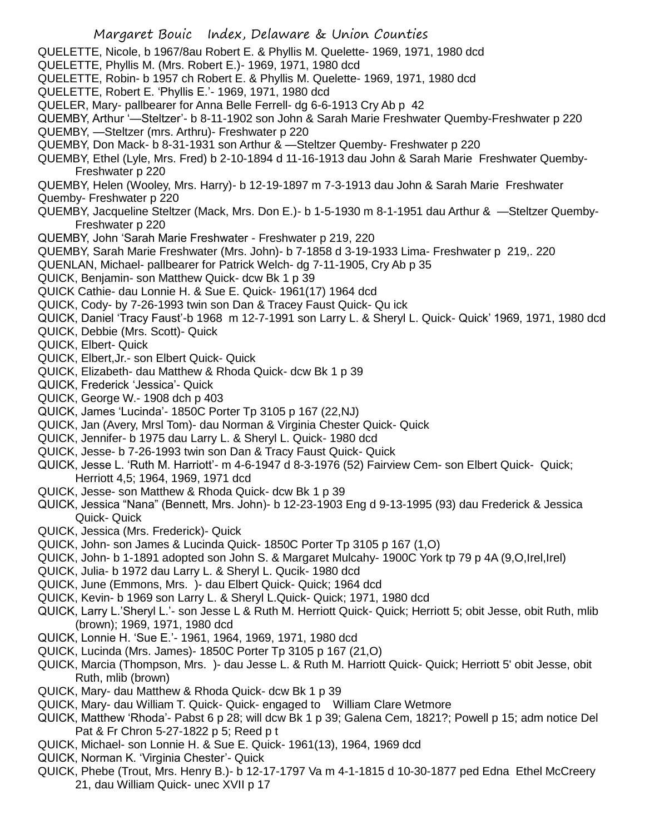- QUELETTE, Nicole, b 1967/8au Robert E. & Phyllis M. Quelette- 1969, 1971, 1980 dcd
- QUELETTE, Phyllis M. (Mrs. Robert E.)- 1969, 1971, 1980 dcd
- QUELETTE, Robin- b 1957 ch Robert E. & Phyllis M. Quelette- 1969, 1971, 1980 dcd
- QUELETTE, Robert E. 'Phyllis E.'- 1969, 1971, 1980 dcd
- QUELER, Mary- pallbearer for Anna Belle Ferrell- dg 6-6-1913 Cry Ab p 42
- QUEMBY, Arthur '—Steltzer'- b 8-11-1902 son John & Sarah Marie Freshwater Quemby-Freshwater p 220
- QUEMBY, —Steltzer (mrs. Arthru)- Freshwater p 220
- QUEMBY, Don Mack- b 8-31-1931 son Arthur & —Steltzer Quemby- Freshwater p 220
- QUEMBY, Ethel (Lyle, Mrs. Fred) b 2-10-1894 d 11-16-1913 dau John & Sarah Marie Freshwater Quemby-Freshwater p 220
- QUEMBY, Helen (Wooley, Mrs. Harry)- b 12-19-1897 m 7-3-1913 dau John & Sarah Marie Freshwater Quemby- Freshwater p 220
- QUEMBY, Jacqueline Steltzer (Mack, Mrs. Don E.)- b 1-5-1930 m 8-1-1951 dau Arthur & —Steltzer Quemby-Freshwater p 220
- QUEMBY, John 'Sarah Marie Freshwater Freshwater p 219, 220
- QUEMBY, Sarah Marie Freshwater (Mrs. John)- b 7-1858 d 3-19-1933 Lima- Freshwater p 219,. 220
- QUENLAN, Michael- pallbearer for Patrick Welch- dg 7-11-1905, Cry Ab p 35
- QUICK, Benjamin- son Matthew Quick- dcw Bk 1 p 39
- QUICK Cathie- dau Lonnie H. & Sue E. Quick- 1961(17) 1964 dcd
- QUICK, Cody- by 7-26-1993 twin son Dan & Tracey Faust Quick- Qu ick
- QUICK, Daniel 'Tracy Faust'-b 1968 m 12-7-1991 son Larry L. & Sheryl L. Quick- Quick' 1969, 1971, 1980 dcd
- QUICK, Debbie (Mrs. Scott)- Quick
- QUICK, Elbert- Quick
- QUICK, Elbert,Jr.- son Elbert Quick- Quick
- QUICK, Elizabeth- dau Matthew & Rhoda Quick- dcw Bk 1 p 39
- QUICK, Frederick 'Jessica'- Quick
- QUICK, George W.- 1908 dch p 403
- QUICK, James 'Lucinda'- 1850C Porter Tp 3105 p 167 (22,NJ)
- QUICK, Jan (Avery, Mrsl Tom)- dau Norman & Virginia Chester Quick- Quick
- QUICK, Jennifer- b 1975 dau Larry L. & Sheryl L. Quick- 1980 dcd
- QUICK, Jesse- b 7-26-1993 twin son Dan & Tracy Faust Quick- Quick
- QUICK, Jesse L. 'Ruth M. Harriott'- m 4-6-1947 d 8-3-1976 (52) Fairview Cem- son Elbert Quick- Quick; Herriott 4,5; 1964, 1969, 1971 dcd
- QUICK, Jesse- son Matthew & Rhoda Quick- dcw Bk 1 p 39
- QUICK, Jessica "Nana" (Bennett, Mrs. John)- b 12-23-1903 Eng d 9-13-1995 (93) dau Frederick & Jessica Quick- Quick
- QUICK, Jessica (Mrs. Frederick)- Quick
- QUICK, John- son James & Lucinda Quick- 1850C Porter Tp 3105 p 167 (1,O)
- QUICK, John- b 1-1891 adopted son John S. & Margaret Mulcahy- 1900C York tp 79 p 4A (9,O,Irel,Irel)
- QUICK, Julia- b 1972 dau Larry L. & Sheryl L. Qucik- 1980 dcd
- QUICK, June (Emmons, Mrs. )- dau Elbert Quick- Quick; 1964 dcd
- QUICK, Kevin- b 1969 son Larry L. & Sheryl L.Quick- Quick; 1971, 1980 dcd
- QUICK, Larry L.'Sheryl L.'- son Jesse L & Ruth M. Herriott Quick- Quick; Herriott 5; obit Jesse, obit Ruth, mlib (brown); 1969, 1971, 1980 dcd
- QUICK, Lonnie H. 'Sue E.'- 1961, 1964, 1969, 1971, 1980 dcd
- QUICK, Lucinda (Mrs. James)- 1850C Porter Tp 3105 p 167 (21,O)
- QUICK, Marcia (Thompson, Mrs. )- dau Jesse L. & Ruth M. Harriott Quick- Quick; Herriott 5' obit Jesse, obit Ruth, mlib (brown)
- QUICK, Mary- dau Matthew & Rhoda Quick- dcw Bk 1 p 39
- QUICK, Mary- dau William T. Quick- Quick- engaged to William Clare Wetmore
- QUICK, Matthew 'Rhoda'- Pabst 6 p 28; will dcw Bk 1 p 39; Galena Cem, 1821?; Powell p 15; adm notice Del Pat & Fr Chron 5-27-1822 p 5; Reed p t
- QUICK, Michael- son Lonnie H. & Sue E. Quick- 1961(13), 1964, 1969 dcd
- QUICK, Norman K. 'Virginia Chester'- Quick
- QUICK, Phebe (Trout, Mrs. Henry B.)- b 12-17-1797 Va m 4-1-1815 d 10-30-1877 ped Edna Ethel McCreery 21, dau William Quick- unec XVII p 17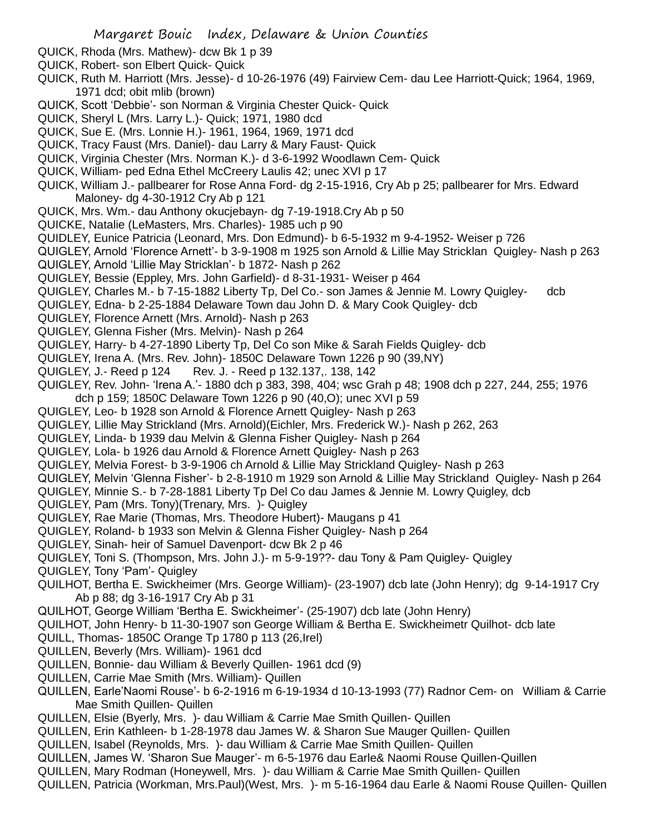- QUICK, Rhoda (Mrs. Mathew)- dcw Bk 1 p 39
- QUICK, Robert- son Elbert Quick- Quick
- QUICK, Ruth M. Harriott (Mrs. Jesse)- d 10-26-1976 (49) Fairview Cem- dau Lee Harriott-Quick; 1964, 1969, 1971 dcd; obit mlib (brown)
- QUICK, Scott 'Debbie'- son Norman & Virginia Chester Quick- Quick
- QUICK, Sheryl L (Mrs. Larry L.)- Quick; 1971, 1980 dcd
- QUICK, Sue E. (Mrs. Lonnie H.)- 1961, 1964, 1969, 1971 dcd
- QUICK, Tracy Faust (Mrs. Daniel)- dau Larry & Mary Faust- Quick
- QUICK, Virginia Chester (Mrs. Norman K.)- d 3-6-1992 Woodlawn Cem- Quick
- QUICK, William- ped Edna Ethel McCreery Laulis 42; unec XVI p 17
- QUICK, William J.- pallbearer for Rose Anna Ford- dg 2-15-1916, Cry Ab p 25; pallbearer for Mrs. Edward Maloney- dg 4-30-1912 Cry Ab p 121
- QUICK, Mrs. Wm.- dau Anthony okucjebayn- dg 7-19-1918.Cry Ab p 50
- QUICKE, Natalie (LeMasters, Mrs. Charles)- 1985 uch p 90
- QUIDLEY, Eunice Patricia (Leonard, Mrs. Don Edmund)- b 6-5-1932 m 9-4-1952- Weiser p 726
- QUIGLEY, Arnold 'Florence Arnett'- b 3-9-1908 m 1925 son Arnold & Lillie May Stricklan Quigley- Nash p 263
- QUIGLEY, Arnold 'Lillie May Stricklan'- b 1872- Nash p 262
- QUIGLEY, Bessie (Eppley, Mrs. John Garfield)- d 8-31-1931- Weiser p 464
- QUIGLEY, Charles M.- b 7-15-1882 Liberty Tp, Del Co.- son James & Jennie M. Lowry Quigley- dcb
- QUIGLEY, Edna- b 2-25-1884 Delaware Town dau John D. & Mary Cook Quigley- dcb
- QUIGLEY, Florence Arnett (Mrs. Arnold)- Nash p 263
- QUIGLEY, Glenna Fisher (Mrs. Melvin)- Nash p 264
- QUIGLEY, Harry- b 4-27-1890 Liberty Tp, Del Co son Mike & Sarah Fields Quigley- dcb
- QUIGLEY, Irena A. (Mrs. Rev. John)- 1850C Delaware Town 1226 p 90 (39,NY)
- QUIGLEY, J.- Reed p 124 Rev. J. Reed p 132.137,. 138, 142
- QUIGLEY, Rev. John- 'Irena A.'- 1880 dch p 383, 398, 404; wsc Grah p 48; 1908 dch p 227, 244, 255; 1976 dch p 159; 1850C Delaware Town 1226 p 90 (40,O); unec XVI p 59
- QUIGLEY, Leo- b 1928 son Arnold & Florence Arnett Quigley- Nash p 263
- QUIGLEY, Lillie May Strickland (Mrs. Arnold)(Eichler, Mrs. Frederick W.)- Nash p 262, 263
- QUIGLEY, Linda- b 1939 dau Melvin & Glenna Fisher Quigley- Nash p 264
- QUIGLEY, Lola- b 1926 dau Arnold & Florence Arnett Quigley- Nash p 263
- QUIGLEY, Melvia Forest- b 3-9-1906 ch Arnold & Lillie May Strickland Quigley- Nash p 263
- QUIGLEY, Melvin 'Glenna Fisher'- b 2-8-1910 m 1929 son Arnold & Lillie May Strickland Quigley- Nash p 264
- QUIGLEY, Minnie S.- b 7-28-1881 Liberty Tp Del Co dau James & Jennie M. Lowry Quigley, dcb
- QUIGLEY, Pam (Mrs. Tony)(Trenary, Mrs. )- Quigley
- QUIGLEY, Rae Marie (Thomas, Mrs. Theodore Hubert)- Maugans p 41
- QUIGLEY, Roland- b 1933 son Melvin & Glenna Fisher Quigley- Nash p 264
- QUIGLEY, Sinah- heir of Samuel Davenport- dcw Bk 2 p 46
- QUIGLEY, Toni S. (Thompson, Mrs. John J.)- m 5-9-19??- dau Tony & Pam Quigley- Quigley
- QUIGLEY, Tony 'Pam'- Quigley
- QUILHOT, Bertha E. Swickheimer (Mrs. George William)- (23-1907) dcb late (John Henry); dg 9-14-1917 Cry Ab p 88; dg 3-16-1917 Cry Ab p 31
- QUILHOT, George William 'Bertha E. Swickheimer'- (25-1907) dcb late (John Henry)
- QUILHOT, John Henry- b 11-30-1907 son George William & Bertha E. Swickheimetr Quilhot- dcb late
- QUILL, Thomas- 1850C Orange Tp 1780 p 113 (26,Irel)
- QUILLEN, Beverly (Mrs. William)- 1961 dcd
- QUILLEN, Bonnie- dau William & Beverly Quillen- 1961 dcd (9)
- QUILLEN, Carrie Mae Smith (Mrs. William)- Quillen
- QUILLEN, Earle'Naomi Rouse'- b 6-2-1916 m 6-19-1934 d 10-13-1993 (77) Radnor Cem- on William & Carrie Mae Smith Quillen- Quillen
- QUILLEN, Elsie (Byerly, Mrs. )- dau William & Carrie Mae Smith Quillen- Quillen
- QUILLEN, Erin Kathleen- b 1-28-1978 dau James W. & Sharon Sue Mauger Quillen- Quillen
- QUILLEN, Isabel (Reynolds, Mrs. )- dau William & Carrie Mae Smith Quillen- Quillen
- QUILLEN, James W. 'Sharon Sue Mauger'- m 6-5-1976 dau Earle& Naomi Rouse Quillen-Quillen
- QUILLEN, Mary Rodman (Honeywell, Mrs. )- dau William & Carrie Mae Smith Quillen- Quillen
- QUILLEN, Patricia (Workman, Mrs.Paul)(West, Mrs. )- m 5-16-1964 dau Earle & Naomi Rouse Quillen- Quillen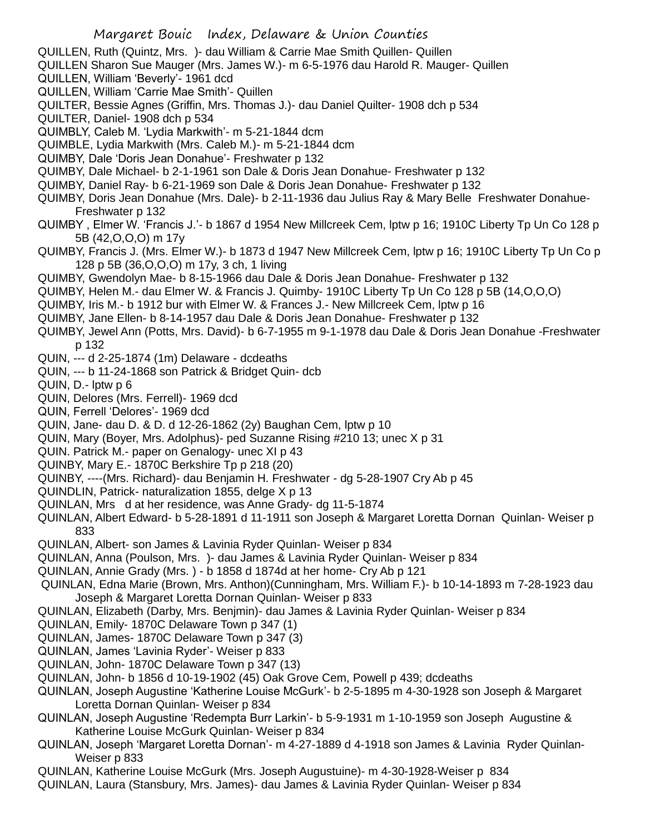- QUILLEN, Ruth (Quintz, Mrs. )- dau William & Carrie Mae Smith Quillen- Quillen
- QUILLEN Sharon Sue Mauger (Mrs. James W.)- m 6-5-1976 dau Harold R. Mauger- Quillen
- QUILLEN, William 'Beverly'- 1961 dcd
- QUILLEN, William 'Carrie Mae Smith'- Quillen
- QUILTER, Bessie Agnes (Griffin, Mrs. Thomas J.)- dau Daniel Quilter- 1908 dch p 534
- QUILTER, Daniel- 1908 dch p 534
- QUIMBLY, Caleb M. 'Lydia Markwith'- m 5-21-1844 dcm
- QUIMBLE, Lydia Markwith (Mrs. Caleb M.)- m 5-21-1844 dcm
- QUIMBY, Dale 'Doris Jean Donahue'- Freshwater p 132
- QUIMBY, Dale Michael- b 2-1-1961 son Dale & Doris Jean Donahue- Freshwater p 132
- QUIMBY, Daniel Ray- b 6-21-1969 son Dale & Doris Jean Donahue- Freshwater p 132
- QUIMBY, Doris Jean Donahue (Mrs. Dale)- b 2-11-1936 dau Julius Ray & Mary Belle Freshwater Donahue-Freshwater p 132
- QUIMBY , Elmer W. 'Francis J.'- b 1867 d 1954 New Millcreek Cem, lptw p 16; 1910C Liberty Tp Un Co 128 p 5B (42,O,O,O) m 17y
- QUIMBY, Francis J. (Mrs. Elmer W.)- b 1873 d 1947 New Millcreek Cem, lptw p 16; 1910C Liberty Tp Un Co p 128 p 5B (36,O,O,O) m 17y, 3 ch, 1 living
- QUIMBY, Gwendolyn Mae- b 8-15-1966 dau Dale & Doris Jean Donahue- Freshwater p 132
- QUIMBY, Helen M.- dau Elmer W. & Francis J. Quimby- 1910C Liberty Tp Un Co 128 p 5B (14,O,O,O)
- QUIMBY, Iris M.- b 1912 bur with Elmer W. & Frances J.- New Millcreek Cem, lptw p 16
- QUIMBY, Jane Ellen- b 8-14-1957 dau Dale & Doris Jean Donahue- Freshwater p 132
- QUIMBY, Jewel Ann (Potts, Mrs. David)- b 6-7-1955 m 9-1-1978 dau Dale & Doris Jean Donahue -Freshwater p 132
- QUIN, --- d 2-25-1874 (1m) Delaware dcdeaths
- QUIN, --- b 11-24-1868 son Patrick & Bridget Quin- dcb
- QUIN, D.- lptw p 6
- QUIN, Delores (Mrs. Ferrell)- 1969 dcd
- QUIN, Ferrell 'Delores'- 1969 dcd
- QUIN, Jane- dau D. & D. d 12-26-1862 (2y) Baughan Cem, lptw p 10
- QUIN, Mary (Boyer, Mrs. Adolphus)- ped Suzanne Rising #210 13; unec X p 31
- QUIN. Patrick M.- paper on Genalogy- unec XI p 43
- QUINBY, Mary E.- 1870C Berkshire Tp p 218 (20)
- QUINBY, ----(Mrs. Richard)- dau Benjamin H. Freshwater dg 5-28-1907 Cry Ab p 45
- QUINDLIN, Patrick- naturalization 1855, delge X p 13
- QUINLAN, Mrs d at her residence, was Anne Grady- dg 11-5-1874
- QUINLAN, Albert Edward- b 5-28-1891 d 11-1911 son Joseph & Margaret Loretta Dornan Quinlan- Weiser p 833
- QUINLAN, Albert- son James & Lavinia Ryder Quinlan- Weiser p 834
- QUINLAN, Anna (Poulson, Mrs. )- dau James & Lavinia Ryder Quinlan- Weiser p 834
- QUINLAN, Annie Grady (Mrs. ) b 1858 d 1874d at her home- Cry Ab p 121
- QUINLAN, Edna Marie (Brown, Mrs. Anthon)(Cunningham, Mrs. William F.)- b 10-14-1893 m 7-28-1923 dau Joseph & Margaret Loretta Dornan Quinlan- Weiser p 833
- QUINLAN, Elizabeth (Darby, Mrs. Benjmin)- dau James & Lavinia Ryder Quinlan- Weiser p 834
- QUINLAN, Emily- 1870C Delaware Town p 347 (1)
- QUINLAN, James- 1870C Delaware Town p 347 (3)
- QUINLAN, James 'Lavinia Ryder'- Weiser p 833
- QUINLAN, John- 1870C Delaware Town p 347 (13)
- QUINLAN, John- b 1856 d 10-19-1902 (45) Oak Grove Cem, Powell p 439; dcdeaths
- QUINLAN, Joseph Augustine 'Katherine Louise McGurk'- b 2-5-1895 m 4-30-1928 son Joseph & Margaret Loretta Dornan Quinlan- Weiser p 834
- QUINLAN, Joseph Augustine 'Redempta Burr Larkin'- b 5-9-1931 m 1-10-1959 son Joseph Augustine & Katherine Louise McGurk Quinlan- Weiser p 834
- QUINLAN, Joseph 'Margaret Loretta Dornan'- m 4-27-1889 d 4-1918 son James & Lavinia Ryder Quinlan-Weiser p 833
- QUINLAN, Katherine Louise McGurk (Mrs. Joseph Augustuine)- m 4-30-1928-Weiser p 834
- QUINLAN, Laura (Stansbury, Mrs. James)- dau James & Lavinia Ryder Quinlan- Weiser p 834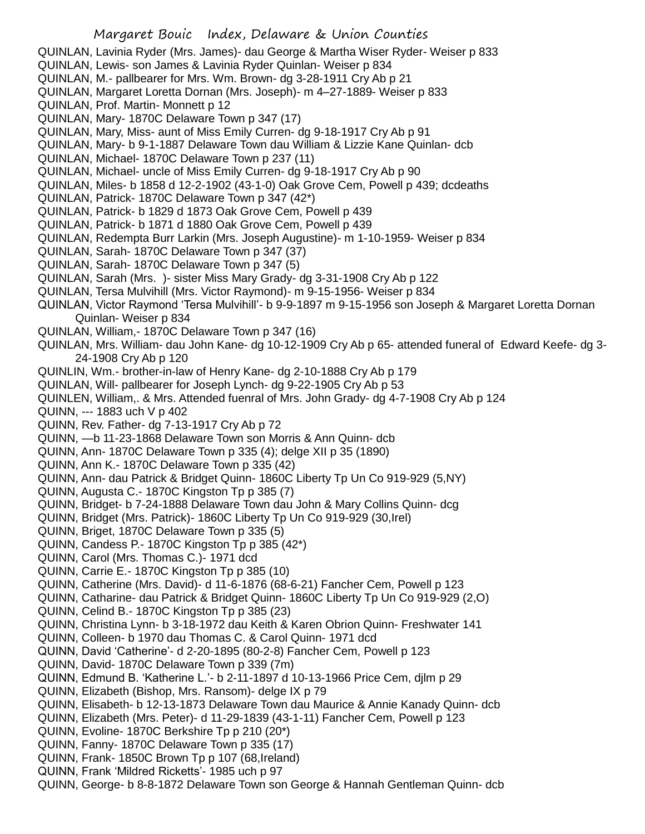- QUINLAN, Lavinia Ryder (Mrs. James)- dau George & Martha Wiser Ryder- Weiser p 833
- QUINLAN, Lewis- son James & Lavinia Ryder Quinlan- Weiser p 834
- QUINLAN, M.- pallbearer for Mrs. Wm. Brown- dg 3-28-1911 Cry Ab p 21
- QUINLAN, Margaret Loretta Dornan (Mrs. Joseph)- m 4–27-1889- Weiser p 833
- QUINLAN, Prof. Martin- Monnett p 12
- QUINLAN, Mary- 1870C Delaware Town p 347 (17)
- QUINLAN, Mary, Miss- aunt of Miss Emily Curren- dg 9-18-1917 Cry Ab p 91
- QUINLAN, Mary- b 9-1-1887 Delaware Town dau William & Lizzie Kane Quinlan- dcb
- QUINLAN, Michael- 1870C Delaware Town p 237 (11)
- QUINLAN, Michael- uncle of Miss Emily Curren- dg 9-18-1917 Cry Ab p 90
- QUINLAN, Miles- b 1858 d 12-2-1902 (43-1-0) Oak Grove Cem, Powell p 439; dcdeaths
- QUINLAN, Patrick- 1870C Delaware Town p 347 (42\*)
- QUINLAN, Patrick- b 1829 d 1873 Oak Grove Cem, Powell p 439
- QUINLAN, Patrick- b 1871 d 1880 Oak Grove Cem, Powell p 439
- QUINLAN, Redempta Burr Larkin (Mrs. Joseph Augustine)- m 1-10-1959- Weiser p 834
- QUINLAN, Sarah- 1870C Delaware Town p 347 (37)
- QUINLAN, Sarah- 1870C Delaware Town p 347 (5)
- QUINLAN, Sarah (Mrs. )- sister Miss Mary Grady- dg 3-31-1908 Cry Ab p 122
- QUINLAN, Tersa Mulvihill (Mrs. Victor Raymond)- m 9-15-1956- Weiser p 834
- QUINLAN, Victor Raymond 'Tersa Mulvihill'- b 9-9-1897 m 9-15-1956 son Joseph & Margaret Loretta Dornan Quinlan- Weiser p 834
- QUINLAN, William,- 1870C Delaware Town p 347 (16)
- QUINLAN, Mrs. William- dau John Kane- dg 10-12-1909 Cry Ab p 65- attended funeral of Edward Keefe- dg 3- 24-1908 Cry Ab p 120
- QUINLIN, Wm.- brother-in-law of Henry Kane- dg 2-10-1888 Cry Ab p 179
- QUINLAN, Will- pallbearer for Joseph Lynch- dg 9-22-1905 Cry Ab p 53
- QUINLEN, William,. & Mrs. Attended fuenral of Mrs. John Grady- dg 4-7-1908 Cry Ab p 124
- QUINN, --- 1883 uch V p 402
- QUINN, Rev. Father- dg 7-13-1917 Cry Ab p 72
- QUINN, —b 11-23-1868 Delaware Town son Morris & Ann Quinn- dcb
- QUINN, Ann- 1870C Delaware Town p 335 (4); delge XII p 35 (1890)
- QUINN, Ann K.- 1870C Delaware Town p 335 (42)
- QUINN, Ann- dau Patrick & Bridget Quinn- 1860C Liberty Tp Un Co 919-929 (5,NY)
- QUINN, Augusta C.- 1870C Kingston Tp p 385 (7)
- QUINN, Bridget- b 7-24-1888 Delaware Town dau John & Mary Collins Quinn- dcg
- QUINN, Bridget (Mrs. Patrick)- 1860C Liberty Tp Un Co 919-929 (30,Irel)
- QUINN, Briget, 1870C Delaware Town p 335 (5)
- QUINN, Candess P.- 1870C Kingston Tp p 385 (42\*)
- QUINN, Carol (Mrs. Thomas C.)- 1971 dcd
- QUINN, Carrie E.- 1870C Kingston Tp p 385 (10)
- QUINN, Catherine (Mrs. David)- d 11-6-1876 (68-6-21) Fancher Cem, Powell p 123
- QUINN, Catharine- dau Patrick & Bridget Quinn- 1860C Liberty Tp Un Co 919-929 (2,O)
- QUINN, Celind B.- 1870C Kingston Tp p 385 (23)
- QUINN, Christina Lynn- b 3-18-1972 dau Keith & Karen Obrion Quinn- Freshwater 141
- QUINN, Colleen- b 1970 dau Thomas C. & Carol Quinn- 1971 dcd
- QUINN, David 'Catherine'- d 2-20-1895 (80-2-8) Fancher Cem, Powell p 123
- QUINN, David- 1870C Delaware Town p 339 (7m)
- QUINN, Edmund B. 'Katherine L.'- b 2-11-1897 d 10-13-1966 Price Cem, djlm p 29
- QUINN, Elizabeth (Bishop, Mrs. Ransom)- delge IX p 79
- QUINN, Elisabeth- b 12-13-1873 Delaware Town dau Maurice & Annie Kanady Quinn- dcb
- QUINN, Elizabeth (Mrs. Peter)- d 11-29-1839 (43-1-11) Fancher Cem, Powell p 123
- QUINN, Evoline- 1870C Berkshire Tp p 210 (20\*)
- QUINN, Fanny- 1870C Delaware Town p 335 (17)
- QUINN, Frank- 1850C Brown Tp p 107 (68,Ireland)
- QUINN, Frank 'Mildred Ricketts'- 1985 uch p 97
- QUINN, George- b 8-8-1872 Delaware Town son George & Hannah Gentleman Quinn- dcb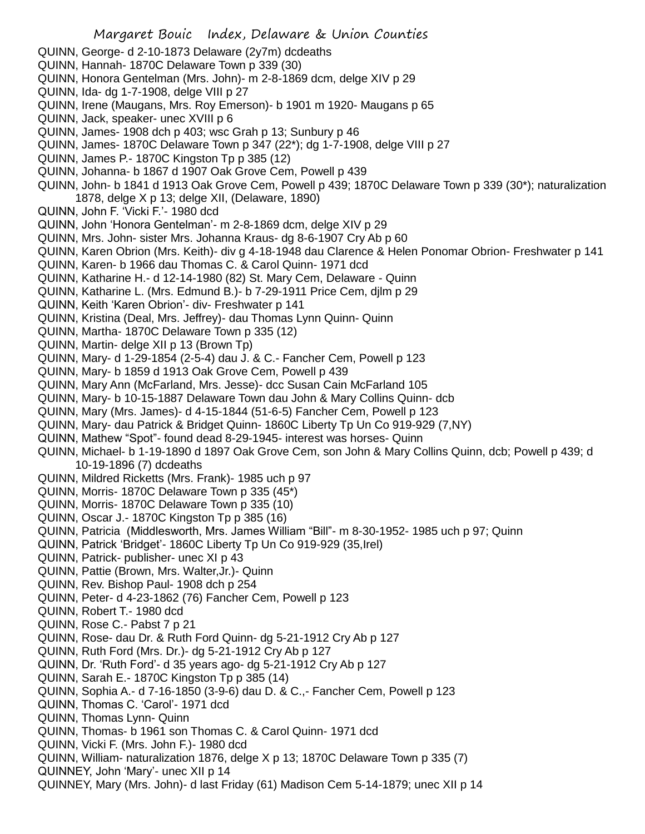- QUINN, George- d 2-10-1873 Delaware (2y7m) dcdeaths
- QUINN, Hannah- 1870C Delaware Town p 339 (30)
- QUINN, Honora Gentelman (Mrs. John)- m 2-8-1869 dcm, delge XIV p 29
- QUINN, Ida- dg 1-7-1908, delge VIII p 27
- QUINN, Irene (Maugans, Mrs. Roy Emerson)- b 1901 m 1920- Maugans p 65
- QUINN, Jack, speaker- unec XVIII p 6
- QUINN, James- 1908 dch p 403; wsc Grah p 13; Sunbury p 46
- QUINN, James- 1870C Delaware Town p 347 (22\*); dg 1-7-1908, delge VIII p 27
- QUINN, James P.- 1870C Kingston Tp p 385 (12)
- QUINN, Johanna- b 1867 d 1907 Oak Grove Cem, Powell p 439
- QUINN, John- b 1841 d 1913 Oak Grove Cem, Powell p 439; 1870C Delaware Town p 339 (30\*); naturalization 1878, delge X p 13; delge XII, (Delaware, 1890)
- QUINN, John F. 'Vicki F.'- 1980 dcd
- QUINN, John 'Honora Gentelman'- m 2-8-1869 dcm, delge XIV p 29
- QUINN, Mrs. John- sister Mrs. Johanna Kraus- dg 8-6-1907 Cry Ab p 60
- QUINN, Karen Obrion (Mrs. Keith)- div g 4-18-1948 dau Clarence & Helen Ponomar Obrion- Freshwater p 141
- QUINN, Karen- b 1966 dau Thomas C. & Carol Quinn- 1971 dcd
- QUINN, Katharine H.- d 12-14-1980 (82) St. Mary Cem, Delaware Quinn
- QUINN, Katharine L. (Mrs. Edmund B.)- b 7-29-1911 Price Cem, djlm p 29
- QUINN, Keith 'Karen Obrion'- div- Freshwater p 141
- QUINN, Kristina (Deal, Mrs. Jeffrey)- dau Thomas Lynn Quinn- Quinn
- QUINN, Martha- 1870C Delaware Town p 335 (12)
- QUINN, Martin- delge XII p 13 (Brown Tp)
- QUINN, Mary- d 1-29-1854 (2-5-4) dau J. & C.- Fancher Cem, Powell p 123
- QUINN, Mary- b 1859 d 1913 Oak Grove Cem, Powell p 439
- QUINN, Mary Ann (McFarland, Mrs. Jesse)- dcc Susan Cain McFarland 105
- QUINN, Mary- b 10-15-1887 Delaware Town dau John & Mary Collins Quinn- dcb
- QUINN, Mary (Mrs. James)- d 4-15-1844 (51-6-5) Fancher Cem, Powell p 123
- QUINN, Mary- dau Patrick & Bridget Quinn- 1860C Liberty Tp Un Co 919-929 (7,NY)
- QUINN, Mathew "Spot"- found dead 8-29-1945- interest was horses- Quinn
- QUINN, Michael- b 1-19-1890 d 1897 Oak Grove Cem, son John & Mary Collins Quinn, dcb; Powell p 439; d 10-19-1896 (7) dcdeaths
- QUINN, Mildred Ricketts (Mrs. Frank)- 1985 uch p 97
- QUINN, Morris- 1870C Delaware Town p 335 (45\*)
- QUINN, Morris- 1870C Delaware Town p 335 (10)
- QUINN, Oscar J.- 1870C Kingston Tp p 385 (16)
- QUINN, Patricia (Middlesworth, Mrs. James William "Bill"- m 8-30-1952- 1985 uch p 97; Quinn
- QUINN, Patrick 'Bridget'- 1860C Liberty Tp Un Co 919-929 (35,Irel)
- QUINN, Patrick- publisher- unec XI p 43
- QUINN, Pattie (Brown, Mrs. Walter,Jr.)- Quinn
- QUINN, Rev. Bishop Paul- 1908 dch p 254
- QUINN, Peter- d 4-23-1862 (76) Fancher Cem, Powell p 123
- QUINN, Robert T.- 1980 dcd
- QUINN, Rose C.- Pabst 7 p 21
- QUINN, Rose- dau Dr. & Ruth Ford Quinn- dg 5-21-1912 Cry Ab p 127
- QUINN, Ruth Ford (Mrs. Dr.)- dg 5-21-1912 Cry Ab p 127
- QUINN, Dr. 'Ruth Ford'- d 35 years ago- dg 5-21-1912 Cry Ab p 127
- QUINN, Sarah E.- 1870C Kingston Tp p 385 (14)
- QUINN, Sophia A.- d 7-16-1850 (3-9-6) dau D. & C.,- Fancher Cem, Powell p 123
- QUINN, Thomas C. 'Carol'- 1971 dcd
- QUINN, Thomas Lynn- Quinn
- QUINN, Thomas- b 1961 son Thomas C. & Carol Quinn- 1971 dcd
- QUINN, Vicki F. (Mrs. John F.)- 1980 dcd
- QUINN, William- naturalization 1876, delge X p 13; 1870C Delaware Town p 335 (7)
- QUINNEY, John 'Mary'- unec XII p 14
- QUINNEY, Mary (Mrs. John)- d last Friday (61) Madison Cem 5-14-1879; unec XII p 14